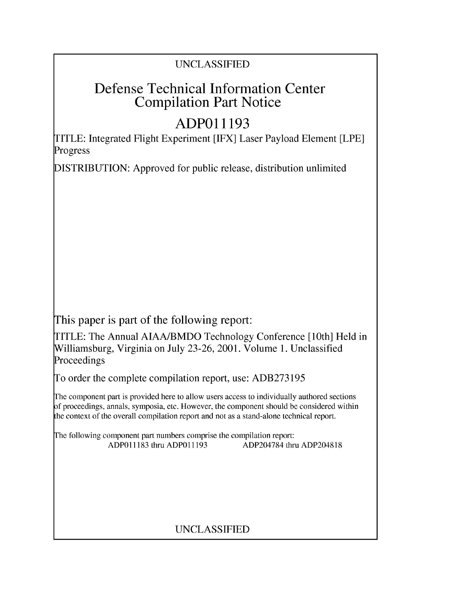# Defense Technical Information Center Compilation Part Notice

# **ADPO11193**

TITLE: Integrated Flight Experiment [IFX] Laser Payload Element [LPE] Progress

DISTRIBUTION: Approved for public release, distribution unlimited

This paper is part of the following report:

TITLE: The Annual AIAA/BMDO Technology Conference [10th] Held in Williamsburg, Virginia on July 23-26, 2001. Volume 1. Unclassified Proceedings

To order the complete compilation report, use: ADB273195

The component part is provided here to allow users access to individually authored sections f proceedings, annals, symposia, etc. However, the component should be considered within [he context of the overall compilation report and not as a stand-alone technical report.

The following component part numbers comprise the compilation report: ADPO11183 thru ADPO11193 ADP204784 thru ADP204818

## UNCLASSIFIED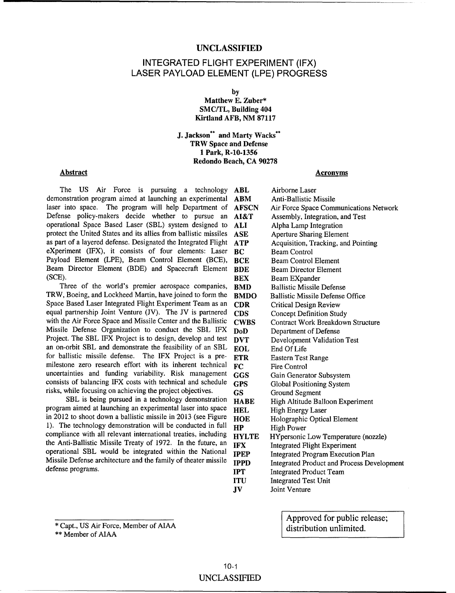### INTEGRATED FLIGHT EXPERIMENT (IFX) LASER PAYLOAD ELEMENT (LPE) PROGRESS

**by** Matthew **E.** Zuber\* **SMC/TL,** Building 404 Kirtland AFB, **NM 87117**

**J. Jackson\*\*** and Marty Wacks\*\* TRW Space and Defense **1** Park, R-10-1356 Redondo Beach, **CA 90278**

### Abstract Acronyms and Acronyms and Acronyms and Acronyms and Acronyms and Acronyms and Acronyms and Acronyms and Acronyms and Acronyms and Acronyms and Acronyms and Acronyms and Acronyms and Acronyms and Acronyms and Acron

The US Air Force is pursuing a technology demonstration program aimed at launching an experimental laser into space. The program will help Department of Defense policy-makers decide whether to pursue an operational Space Based Laser (SBL) system designed to protect the United States and its allies from ballistic missiles as part of a layered defense. Designated the Integrated Flight eXperiment (IFX), it consists of four elements: Laser Payload Element (LPE), Beam Control Element (BCE), Beam Director Element (BDE) and Spacecraft Element (SCE). BEX Beam EXpander

Three of the world's premier aerospace companies, TRW, Boeing, and Lockheed Martin, have joined to form the Space Based Laser Integrated Flight Experiment Team as an equal partnership Joint Venture (JV). The JV is partnered with the Air Force Space and Missile Center and the Ballistic Missile Defense Organization to conduct the SBL IFX Project. The SBL IFX Project is to design, develop and test an on-orbit SBL and demonstrate the feasibility of an SBL for ballistic missile defense. The IFX Project is a premilestone zero research effort with its inherent technical uncertainties and funding variability. Risk management consists of balancing IFX costs with technical and schedule risks, while focusing on achieving the project objectives.

SBL is being pursued in a technology demonstration program aimed at launching an experimental laser into space in 2012 to shoot down a ballistic missile in 2013 (see Figure 1). The technology demonstration will be conducted in full compliance with all relevant international treaties, including the Anti-Ballistic Missile Treaty of 1972. In the future, an operational SBL would be integrated within the National Missile Defense architecture and the family of theater missile defense programs.

| ABL             | Airborne Laser                                    |
|-----------------|---------------------------------------------------|
| <b>ABM</b>      | Anti-Ballistic Missile                            |
| <b>AFSCN</b>    | Air Force Space Communications Network            |
| <b>AI&amp;T</b> | Assembly, Integration, and Test                   |
| ALI             | Alpha Lamp Integration                            |
| ASE             | <b>Aperture Sharing Element</b>                   |
| ATP             | Acquisition, Tracking, and Pointing               |
| BC              | <b>Beam Control</b>                               |
| <b>BCE</b>      | <b>Beam Control Element</b>                       |
| <b>BDE</b>      | <b>Beam Director Element</b>                      |
| <b>BEX</b>      | Beam EXpander                                     |
| <b>BMD</b>      | <b>Ballistic Missile Defense</b>                  |
| <b>BMDO</b>     | <b>Ballistic Missile Defense Office</b>           |
| <b>CDR</b>      | <b>Critical Design Review</b>                     |
| CDS             | <b>Concept Definition Study</b>                   |
| <b>CWBS</b>     | Contract Work Breakdown Structure                 |
| DoD             | Department of Defense                             |
| <b>DVT</b>      | Development Validation Test                       |
| <b>EOL</b>      | End Of Life                                       |
| <b>ETR</b>      | Eastern Test Range                                |
| <b>FC</b>       | Fire Control                                      |
| GGS             | Gain Generator Subsystem                          |
| <b>GPS</b>      | Global Positioning System                         |
| <b>GS</b>       | Ground Segment                                    |
| <b>HABE</b>     | High Altitude Balloon Experiment                  |
| HEL             | High Energy Laser                                 |
| HOE             | Holographic Optical Element                       |
| HР              | <b>High Power</b>                                 |
| <b>HYLTE</b>    | HYpersonic Low Temperature (nozzle)               |
| <b>IFX</b>      | <b>Integrated Flight Experiment</b>               |
| <b>IPEP</b>     | <b>Integrated Program Execution Plan</b>          |
| <b>IPPD</b>     | <b>Integrated Product and Process Development</b> |
| <b>IPT</b>      | <b>Integrated Product Team</b>                    |
| <b>ITU</b>      | <b>Integrated Test Unit</b>                       |
| $\bf{J} \bf{V}$ | Joint Venture                                     |
|                 |                                                   |

\* Capt., US Air Force, Member of AIAA Approved for public release;<br>distribution unlimited.

<sup>\*\*</sup> Member of AIAA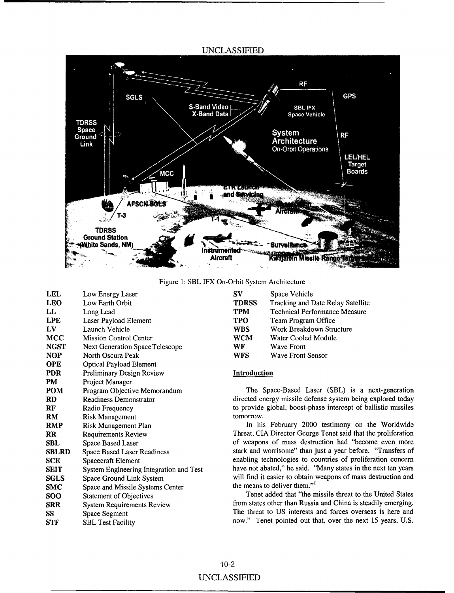

Figure 1: SBL IFX On-Orbit System Architecture

| <b>LEL</b>              | Low Energy Laser                        | $S_{\bf V}$  | Space Vehicle                                                 |  |
|-------------------------|-----------------------------------------|--------------|---------------------------------------------------------------|--|
| <b>LEO</b>              | Low Earth Orbit                         | <b>TDRSS</b> | Tracking and Date Relay Satellite                             |  |
| LL                      | Long Lead                               | <b>TPM</b>   | <b>Technical Performance Measure</b>                          |  |
| <b>LPE</b>              | Laser Payload Element                   | <b>TPO</b>   | <b>Team Program Office</b>                                    |  |
| LV                      | Launch Vehicle                          | <b>WBS</b>   | Work Breakdown Structure                                      |  |
| <b>MCC</b>              | <b>Mission Control Center</b>           | <b>WCM</b>   | Water Cooled Module                                           |  |
| <b>NGST</b>             | Next Generation Space Telescope         | <b>WF</b>    | Wave Front                                                    |  |
| <b>NOP</b>              | North Oscura Peak                       | <b>WFS</b>   | Wave Front Sensor                                             |  |
| <b>OPE</b>              | <b>Optical Payload Element</b>          |              |                                                               |  |
| <b>PDR</b>              | Preliminary Design Review               |              | <b>Introduction</b>                                           |  |
| PM                      | Project Manager                         |              |                                                               |  |
| POM                     | Program Objective Memorandum            |              | The Space-Based Laser (SBL) is a next-generation              |  |
| <b>RD</b>               | Readiness Demonstrator                  |              | directed energy missile defense system being explored today   |  |
| RF                      | Radio Frequency                         |              | to provide global, boost-phase intercept of ballistic missile |  |
| RM                      | Risk Management                         | tomorrow.    |                                                               |  |
| <b>RMP</b>              | Risk Management Plan                    |              | In his February 2000 testimony on the Worldwid                |  |
| $\mathbf{R} \mathbf{R}$ | <b>Requirements Review</b>              |              | Threat, CIA Director George Tenet said that the proliferation |  |
| <b>SBL</b>              | Space Based Laser                       |              | of weapons of mass destruction had "become even more          |  |
| <b>SBLRD</b>            | Space Based Laser Readiness             |              | stark and worrisome" than just a year before. "Transfers of   |  |
| <b>SCE</b>              | Spacecraft Element                      |              | enabling technologies to countries of proliferation concern   |  |
| <b>SEIT</b>             | System Engineering Integration and Test |              | have not abated," he said. "Many states in the next ten year. |  |
| <b>SGLS</b>             | Space Ground Link System                |              | will find it easier to obtain weapons of mass destruction and |  |
| <b>SMC</b>              | Space and Missile Systems Center        |              | the means to deliver them." <sup>1</sup>                      |  |
| SOO                     | Statement of Objectives                 |              | Tenet added that "the missile threat to the United State      |  |
| <b>SRR</b>              | <b>System Requirements Review</b>       |              | from states other than Russia and China is steadily emerging  |  |
| SS <sup>-</sup>         | Space Segment                           |              | The threat to US interests and forces overseas is here and    |  |
| <b>STF</b>              | <b>SBL Test Facility</b>                |              | now." Tenet pointed out that, over the next 15 years, U.S.    |  |

| 'SV          | Space Vehicle                        |
|--------------|--------------------------------------|
| <b>TDRSS</b> | Tracking and Date Relay Satellite    |
| <b>TPM</b>   | <b>Technical Performance Measure</b> |
| <b>TPO</b>   | Team Program Office                  |
| <b>WBS</b>   | Work Breakdown Structure             |
| <b>WCM</b>   | Water Cooled Module                  |
| WF           | Wave Front                           |
| <b>WFS</b>   | Wave Front Sensor                    |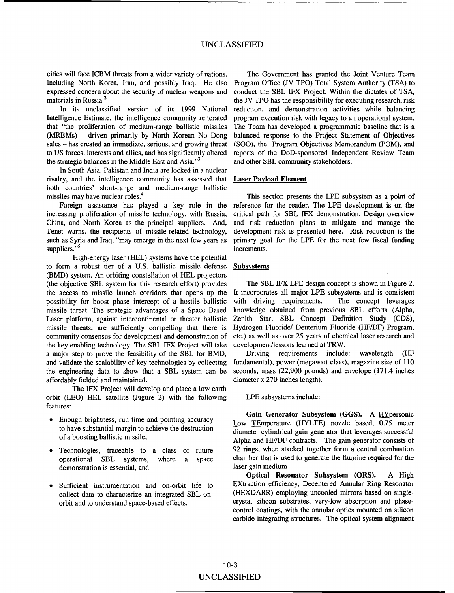expressed concern about the security of nuclear weapons and conduct the SBL IFX Project. Within the dictates of TSA,<br>the JV TPO has the responsibility for executing research, risk

Intelligence Estimate, the intelligence community reiterated program execution risk with legacy to an operational system. that "the proliferation of medium-range ballistic missiles The Team has developed a programmatic baseline that is a (MRBMs) - driven primarily by North Korean No Dong balanced response to the Project Statement of Objectives sales – has created an immediate, serious, and growing threat (SOO), the Program Objectives Memorandum (POM), and to US forces, interests and allies, and has significantly altered reports of the DoD-sponsored Independent Review Team the strategic balances in the Middle East and Asia. $<sup>3</sup>$  and other SBL community stakeholders.</sup>

In South Asia, Pakistan and India are locked in a nuclear rivalry, and the intelligence community has assessed that Laser Payload Element both countries' short-range and medium-range ballistic missiles may have nuclear roles.<sup>4</sup> This section presents the LPE subsystem as a point of

increasing proliferation of missile technology, with Russia, critical path for SBL IFX demonstration. Design overview China, and North Korea as the principal suppliers. And, and risk reduction plans to mitigate and manage the Tenet warns, the recipients of missile-related technology, development risk is presented here. Risk reduction is the such as Syria and Iraq, "may emerge in the next few years as primary goal for the LPE for the next few fiscal funding suppliers."<sup>5</sup> increments.

High-energy laser (HEL) systems have the potential to form a robust tier of a U.S. ballistic missile defense Subsystems (BMD) system. An orbiting constellation of HEL projectors (the objective SBL system for this research effort) provides The SBL IFX LPE design concept is shown in Figure 2.<br>the access to missile launch corridors that opens up the It incorporates all major LPE subsystems and is con the access to missile launch corridors that opens up the possibility for boost phase intercept of a hostile ballistic with driving requirements. The concept leverages missile threat. The strategic advantages of a Space Based knowledge obtained from previous SBL efforts (Alpha, Laser platform, against intercontinental or theater ballistic Zenith Star, SBL Concept Definition Study (CDS), missile threats, are sufficiently compelling that there is Hydrogen Fluoride/ Deuterium Fluoride (HF/DF) Program, community consensus for development and demonstration of etc.) as well as over 25 years of chemical laser research and the key enabling technology. The SBL IFX Project will take development/lessons learned at TRW. a major step to prove the feasibility of the SBL for BMD, Driving requirements include: wavelength (HF and validate the scalability of key technologies by collecting fundamental), power (megawatt class), magazine size of 110 the engineering data to show that a SBL system can be seconds, mass (22,900 pounds) and envelope (171.4 inches affordably fielded and maintained. diameter x 270 inches length).

The IFX Project will develop and place a low earth orbit (LEO) HEL satellite (Figure 2) with the following LPE subsystems include: features:

- 
- demonstration is essential, and laser gain medium.
- 

cities will face ICBM threats from a wider variety of nations, The Government has granted the Joint Venture Team<br>including North Korea, Iran, and possibly Iraq. He also Program Office (JV TPO) Total System Authority (TSA) Program Office (JV TPO) Total System Authority (TSA) to the JV TPO has the responsibility for executing research, risk In its unclassified version of its 1999 National reduction, and demonstration activities while balancing

Foreign assistance has played a key role in the reference for the reader. The LPE development is on the

• Enough brightness, run time and pointing accuracy **Cain Generator Subsystem (GGS).** A HYpersonic Low TEmperature (HYLTE) nozzle based, 0.75 meter to have substantial margin to achieve the destruction diameter cylindrical gain generator that leverages successful of a boosting ballistic missile,<br>Alpha and HF/DF contracts. The gain generator consists of • Technologies, traceable to a class of future 92 rings, when stacked together form a central combustion operational SBL systems, where a space chamber that is used to generate the fluorine required for the

Optical Resonator Subsystem (ORS). A High Sufficient instrumentation and on-orbit life to EXtraction efficiency, Decentered Annular Ring Resonator collect data to characterize an integrated SBL on-<br>(HEXDARR) employing uncooled mirrors based on singleorbit and to understand space-based effects. crystal silicon substrates, very-low absorption and phasecontrol coatings, with the annular optics mounted on silicon carbide integrating structures. The optical system alignment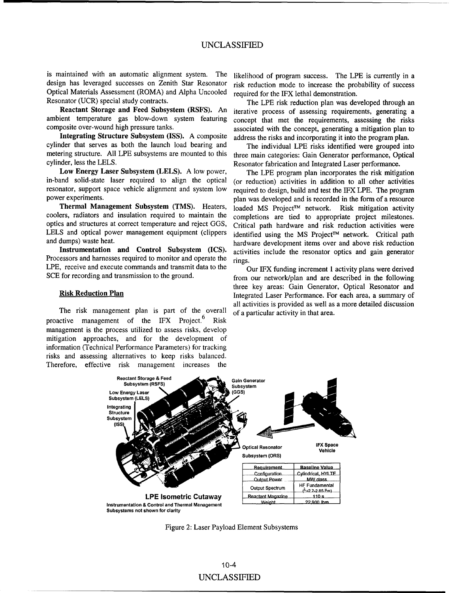is maintained with an automatic alignment system. The likelihood of program success. The LPE is currently in a design has leveraged successes on Zenith Star Resonator risk reduction mode to increase the probability of success Optical Materials Assessment (ROMA) and Alpha Uncooled required for the IFX lethal demonstration. Resonator (UCR) special study contracts. The LPE risk reduction plan was developed through an

ambient temperature gas blow-down system featuring concept that met the requirements, assessing the risks

cylinder that serves as both the launch load bearing and The individual LPE risks identified were grouped into metering structure. All LPE subsystems are mounted to this three main categories: Gain Generator performance, Optical

Low Energy Laser Subsystem (LELS). A low power, The LPE program plan incorporates the risk mitigation in-band solid-state laser required to align the optical (or reduction) activities in addition to all other activities resonator, support space vehicle alignment and system low required to design, build and test the IFX LPE. The program

coolers, radiators and insulation required to maintain the completions are tied to appropriate project milestones. optics and structures at correct temperature and reject GGS, Critical path hardware and risk reduction activities were LELS and optical power management equipment (clippers identified using the MS Project<sup>TM</sup> network. Critical path

Processors and harnesses required to monitor and operate the rings. LPE, receive and execute commands and transmit data to the  $\sigma_{\text{Our IFX}}$  funding increment 1 activity plans were derived

The risk management plan is part of the overall of a particular activity in that area.<br>
Intitive management of the IFX Project. Risk proactive management of the IFX Project.<sup>6</sup> management is the process utilized to assess risks, develop mitigation approaches, and for the development of information (Technical Performance Parameters) for tracking risks and assessing alternatives to keep risks balanced. Therefore, effective risk management increases the

Reactant Storage and Feed Subsystem (RSFS). An iterative process of assessing requirements, generating a composite over-wound high pressure tanks. associated with the concept, generating a mitigation plan to Integrating Structure Subsystem (ISS). A composite address the risks and incorporating it into the program plan.

cylinder, less the LELS. Resonator fabrication and Integrated Laser performance.

power experiments. plan was developed and is recorded in the form of a resource Thermal Management Subsystem (TMS). Heaters,  $\frac{1}{10}$  and MS Project<sup>TM</sup> network. Risk mitigation activity and dumps) waste heat. hardware development items over and above risk reduction Instrumentation and Control Subsystem (ICS). activities include the resonator optics and gain generator

SCE for recording and transmission to the ground. from our network/plan and are described in the following three key areas: Gain Generator, Optical Resonator and Risk Reduction Plan Integrated Laser Performance. For each area, a summary of all activities is provided as well as a more detailed discussion



Figure 2: Laser Payload Element Subsystems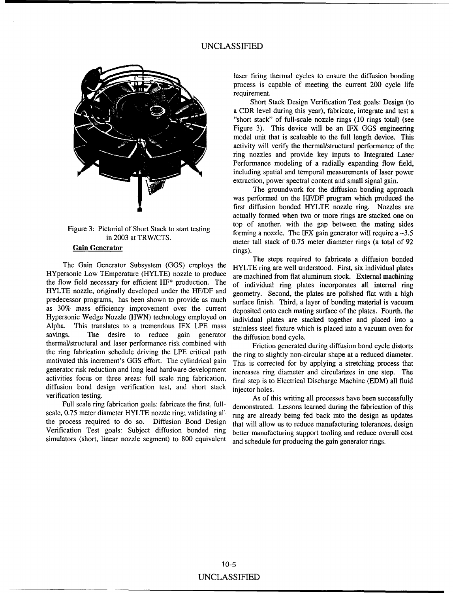

**Gain Generator rings**).

HYLTE nozzle, originally developed under the HF/DF and geometry. Second, the plates are polished flat with a high predecessor programs, has been shown to provide as much predecessor programs, has been shown to provide as much surface finish. Third, a layer of bonding material is vacuum<br>as 30% mass efficiency improvement over the current deposited onto each mating surface of the plates. Fou as 30% mass efficiency improvement over the current deposited onto each mating surface of the plates. Fourth, the<br>Hypersonic Wedge Nozzle (HWN) technology employed on individual plates are stacked together and placed into Hypersonic Wedge Nozzle (HWN) technology employed on individual plates are stacked together and placed into a Alpha. This translates to a tremendous IFX LPE mass stainless steel fixture which is placed into a vacuum oven f savings. The desire to reduce gain generator the diffusion bond cycle. thermal/structural and laser performance risk combined with Friction generated during diffusion bond cycle distorts the ring fabrication schedule driving the LPE critical path the ring to slightly non-circular shape at a reduced diameter. motivated this increment's GGS effort. The cylindrical gain This is corrected for by applying a stretching process that generator risk reduction and long lead hardware development increases ring diameter and circularizes in one step. The activities focus on three areas: full scale ring fabrication, final step is to Electrical Discharge Machine (EDM) all fluid diffusion bond design verification test, and short stack infini step is to  $v_{\text{c}}$  interval  $v_{\text{c}}$  of this writing all processes  $v_{\text{c}}$  injector holes.

laser firing thermal cycles to ensure the diffusion bonding process is capable of meeting the current 200 cycle life requirement.

Short Stack Design Verification Test goals: Design (to a CDR level during this year), fabricate, integrate and test a "short stack" of full-scale nozzle rings (10 rings total) (see Figure 3). This device will be an IFX GGS engineering model unit that is scaleable to the full length device. This activity will verify the thermal/structural performance of the ring nozzles and provide key inputs to Integrated Laser Performance modeling of a radially expanding flow field, including spatial and temporal measurements of laser power extraction, power spectral content and small signal gain.

The groundwork for the diffusion bonding approach was performed on the HF/DF program which produced the first diffusion bonded HYLTE nozzle ring. Nozzles are actually formed when two or more rings are stacked one on Figure 3: Pictorial of Short Stack to start testing forming a norther, with the gap between the mating sides  $\frac{1}{2}$  $\frac{1}{10}$  in 2003 at TRW/CTS.<br>in 2003 at TRW/CTS. The IFX gain generator will require a ~3.5 meter tall stack of 0.75 meter diameter rings (a total of 92

The steps required to fabricate a diffusion bonded<br>The Gain Generator Subsystem (GGS) employs the HylTe steps required to fabricate a diffusion bonded The Gain Generator Subsystem (GGS) employs the HYLTE ring are well understood. First, six individual plates HYpersonic Low TEmperature (HYLTE) nozzle to produce are machined from flat aluminum stock. External machining the flow field necessary for efficient HF\* production. The of individual ring plates incorporates all internal ring

Full scale ring fabrication goals: fabricate the first, full-<br>Full scale ring fabrication goals: fabricate the first, full-<br>demonstrated. Lessons learned during the fabrication of this Full scale ring fabrication goals: fabricate the first, full-<br>scale. Lessons learned during the fabrication of this<br>scale, 0.75 meter diameter HYLTE nozzle ring; validating all<br>ring are already being fed back into the desi the process required to do so. Diffusion Bond Design that will allow us to reduce manufacturing tolerances, design Verification Test goals: Subject diffusion bonded ring better manufacturing support tooling and reduce overall cost simulators (short, linear nozzle segment) to 800 equivalent and schedule for producing the gain generator rings.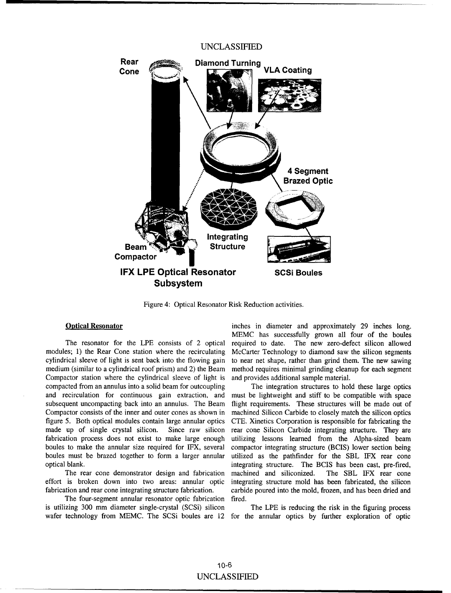

Figure 4: Optical Resonator Risk Reduction activities.

Compactor station where the cylindrical sleeve of light is and provides additional sample material. compacted from an annulus into a solid beam for outcoupling The integration structures to hold these large optics figure 5. Both optical modules contain large annular optics CTE. Xinetics Corporation is responsible for fabricating the optical blank. integrating structure. The BCIS has been cast, pre-fired,

The four-segment annular resonator optic fabrication fired. is utilizing 300 mm diameter single-crystal (SCSi) silicon The LPE is reducing the risk in the figuring process

**Optical Resonator** inches in diameter and approximately 29 inches long. MEMC has successfully grown all four of the boules The resonator for the LPE consists of 2 optical required to date. The new zero-defect silicon allowed modules; 1) the Rear Cone station where the recirculating McCarter Technology to diamond saw the silicon segments cylindrical sleeve of light is sent back into the flowing gain to near net shape, rather than grind them. The new sawing medium (similar to a cylindrical roof prism) and 2) the Beam method requires minimal grinding cleanup for each segment

and recirculation for continuous gain extraction, and must be lightweight and stiff to be compatible with space subsequent uncompacting back into an annulus. The Beam flight requirements. These structures will be made out of Compactor consists of the inner and outer cones as shown in machined Silicon Carbide to closely match the silicon optics made up of single crystal silicon. Since raw silicon rear cone Silicon Carbide integrating structure. They are fabrication process does not exist to make large enough utilizing lessons learned from the Alpha-sized beam boules to make the annular size required for IFX, several compactor integrating structure (BCIS) lower section being boules must be brazed together to form a larger annular utilized as the pathfinder for the SBL IFX rear cone The rear cone demonstrator design and fabrication machined and siliconized. The SBL IFX rear cone effort is broken down into two areas: annular optic integrating structure mold has been fabricated, the silicon fabrication and rear cone integrating structure fabrication. carbide poured into the mold, frozen, and has been dried and

wafer technology from MEMC. The SCSi boules are 12 for the annular optics by further exploration of optic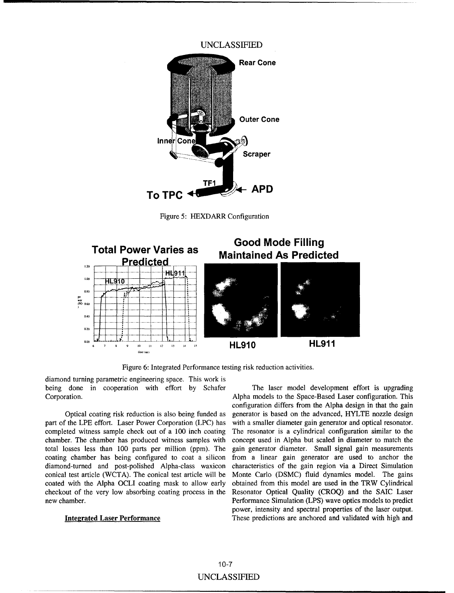





Figure 6: Integrated Performance testing risk reduction activities.

diamond turning parametric engineering space. This work is

part of the LPE effort. Laser Power Corporation (LPC) has with a smaller diameter gain generator and optical resonator. completed witness sample check out of a 100 inch coating The resonator is a cylindrical configuration similar to the chamber. The chamber has produced witness samples with concept used in Alpha but scaled in diameter to match the total losses less than 100 parts per million (ppm). The gain generator diameter. Small signal gain measurements coating chamber has being configured to coat a silicon from a linear gain generator are used to anchor the diamond-turned and post-polished Alpha-class waxicon characteristics of the gain region via a Direct Simulation conical test article (WCTA). The conical test article will be Monte Carlo (DSMC) fluid dynamics model. The gains coated with the Alpha OCLI coating mask to allow early obtained from this model are used in the TRW Cylindrical checkout of the very low absorbing coating process in the Resonator Optical Quality (CROQ) and the SAIC Laser

being done in cooperation with effort by Schafer The laser model development effort is upgrading Corporation. Alpha models to the Space-Based Laser configuration. This configuration differs from the Alpha design in that the gain Optical coating risk reduction is also being funded as generator is based on the advanced, HYLTE nozzle design new chamber. Performance Simulation (LPS) wave optics models to predict power, intensity and spectral properties of the laser output. Integrated Laser Performance These predictions are anchored and validated with high and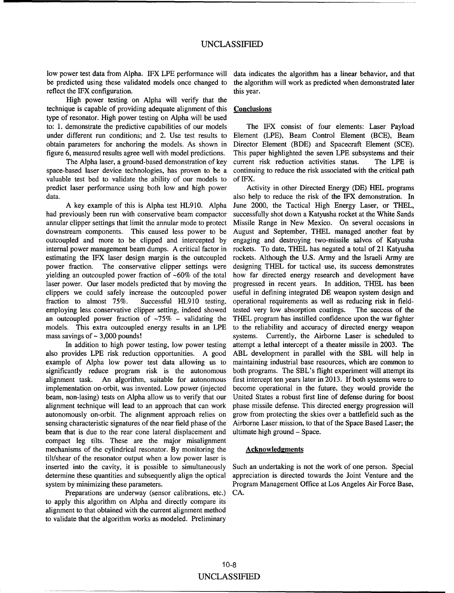low power test data from Alpha. IFX LPE performance will data indicates the algorithm has a linear behavior, and that be predicted using these validated models once changed to the algorithm will work as predicted when demonstrated later reflect the IFX configuration. this year.

High power testing on Alpha will verify that the technique is capable of providing adequate alignment of this Conclusions type of resonator. High power testing on Alpha will be used to: 1. demonstrate the predictive capabilities of our models The IFX consist of four elements: Laser Payload under different run conditions; and 2. Use test results to Element (LPE), Beam Control Element (BCE), Beam obtain parameters for anchoring the models. As shown in Director Element (BDE) and Spacecraft Element (SCE). figure 6, measured results agree well with model predictions. This paper highlighted the seven LPE subsystems and their

space-based laser device technologies, has proven to be a continuing to reduce the risk associated with the critical path valuable test bed to validate the ability of our models to of IFX. predict laser performance using both low and high power Activity in other Directed Energy (DE) HEL programs data. **also help to reduce the risk of the IFX demonstration.** In

had previously been run with conservative beam compactor successfully shot down a Katyusha rocket at the White Sands annular clipper settings that limit the annular mode to protect Missile Range in New Mexico. On several occasions in downstream components. This caused less power to be August and September, THEL managed another feat by outcoupled and more to be clipped and intercepted by engaging and destroying two-missile salvos of Katyusha internal power management beam dumps. A critical factor in rockets. To date, THEL has negated a total of 21 Katyusha estimating the IFX laser design margin is the outcoupled rockets. Although the U.S. Army and the Israeli Army are power fraction. The conservative clipper settings were designing THEL for tactical use, its success demonstrates yielding an outcoupled power fraction of -60% of the total how far directed energy research and development have laser power. Our laser models predicted that by moving the progressed in recent years. In addition, THEL has been clippers we could safely increase the outcoupled power useful in defining integrated DE weapon system design and fraction to almost 75%. Successful HL910 testing, operational requirements as well as reducing risk in fieldemploying less conservative clipper setting, indeed showed tested very low absorption coatings. The success of the an outcoupled power fraction of  $-75\%$  – validating the THEL program has instilled confidence upon the war fighter models. This extra outcoupled energy results in an LPE to the reliability and accuracy of directed energy weapon mass savings of  $\sim$  3,000 pounds! systems. Currently, the Airborne Laser is scheduled to

also provides LPE risk reduction opportunities. A good ABL development in parallel with the SBL will help in example of Alpha low power test data allowing us to maintaining industrial base resources, which are common to significantly reduce program risk is the autonomous both programs. The SBL's flight experiment will attempt its alignment task. An algorithm, suitable for autonomous first intercept ten years later in 2013. If both systems were to implementation on-orbit, was invented. Low power (injected become operational in the future, they would provide the beam, non-lasing) tests on Alpha allow us to verify that our United States a robust first line of defense during for boost alignment technique will lead to an approach that can work phase missile defense. This directed energy progression will autonomously on-orbit. The alignment approach relies on grow from protecting the skies over a battlefield such as the sensing characteristic signatures of the near field phase of the Airborne Laser mission, to that of the Space Based Laser; the beam that is due to the rear cone lateral displacement and ultimate high ground - Space. compact leg tilts. These are the major misalignment mechanisms of the cylindrical resonator. By monitoring the Acknowledgments tilt/shear of the resonator output when a low power laser is inserted into the cavity, it is possible to simultaneously Such an undertaking is not the work of one person. Special determine these quantities and subsequently align the optical appreciation is directed towards the Joint Venture and the system by minimizing these parameters. Program Management Office at Los Angeles Air Force Base,

Preparations are underway (sensor calibrations, etc.) CA. to apply this algorithm on Alpha and directly compare its alignment to that obtained with the current alignment method to validate that the algorithm works as modeled. Preliminary

The Alpha laser, a ground-based demonstration of key current risk reduction activities status. The LPE is

A key example of this is Alpha test HL910. Alpha June 2000, the Tactical High Energy Laser, or THEL, In addition to high power testing, low power testing attempt a lethal intercept of a theater missile in 2003. The